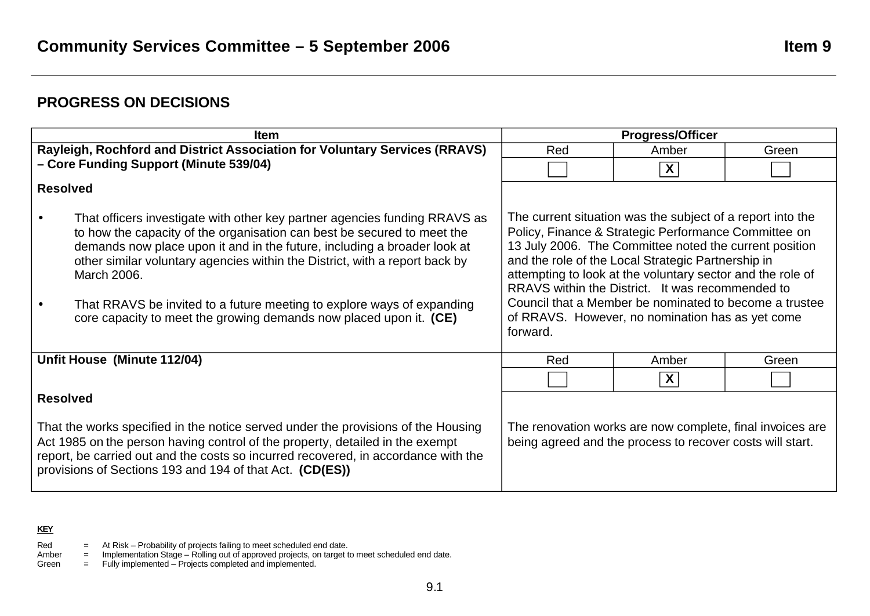# **PROGRESS ON DECISIONS**

| <b>Item</b>                                                                                                                                                                                                                                                                                                                                                                                                                                                                     | <b>Progress/Officer</b>                                                                                                                                                                                                                                                                                                                                                                                                                                                        |       |       |
|---------------------------------------------------------------------------------------------------------------------------------------------------------------------------------------------------------------------------------------------------------------------------------------------------------------------------------------------------------------------------------------------------------------------------------------------------------------------------------|--------------------------------------------------------------------------------------------------------------------------------------------------------------------------------------------------------------------------------------------------------------------------------------------------------------------------------------------------------------------------------------------------------------------------------------------------------------------------------|-------|-------|
| Rayleigh, Rochford and District Association for Voluntary Services (RRAVS)                                                                                                                                                                                                                                                                                                                                                                                                      | Red                                                                                                                                                                                                                                                                                                                                                                                                                                                                            | Amber | Green |
| - Core Funding Support (Minute 539/04)                                                                                                                                                                                                                                                                                                                                                                                                                                          |                                                                                                                                                                                                                                                                                                                                                                                                                                                                                | X     |       |
| <b>Resolved</b>                                                                                                                                                                                                                                                                                                                                                                                                                                                                 |                                                                                                                                                                                                                                                                                                                                                                                                                                                                                |       |       |
| That officers investigate with other key partner agencies funding RRAVS as<br>to how the capacity of the organisation can best be secured to meet the<br>demands now place upon it and in the future, including a broader look at<br>other similar voluntary agencies within the District, with a report back by<br>March 2006.<br>That RRAVS be invited to a future meeting to explore ways of expanding<br>core capacity to meet the growing demands now placed upon it. (CE) | The current situation was the subject of a report into the<br>Policy, Finance & Strategic Performance Committee on<br>13 July 2006. The Committee noted the current position<br>and the role of the Local Strategic Partnership in<br>attempting to look at the voluntary sector and the role of<br>RRAVS within the District. It was recommended to<br>Council that a Member be nominated to become a trustee<br>of RRAVS. However, no nomination has as yet come<br>forward. |       |       |
| Unfit House (Minute 112/04)                                                                                                                                                                                                                                                                                                                                                                                                                                                     | Red                                                                                                                                                                                                                                                                                                                                                                                                                                                                            | Amber | Green |
|                                                                                                                                                                                                                                                                                                                                                                                                                                                                                 |                                                                                                                                                                                                                                                                                                                                                                                                                                                                                | X     |       |
| <b>Resolved</b><br>That the works specified in the notice served under the provisions of the Housing<br>Act 1985 on the person having control of the property, detailed in the exempt<br>report, be carried out and the costs so incurred recovered, in accordance with the<br>provisions of Sections 193 and 194 of that Act. (CD(ES))                                                                                                                                         | The renovation works are now complete, final invoices are<br>being agreed and the process to recover costs will start.                                                                                                                                                                                                                                                                                                                                                         |       |       |

## **KEY**

- Red  $=$  At Risk Probability of projects failing to meet scheduled end date.
- Amber = Implementation Stage Rolling out of approved projects, on target to meet scheduled end date.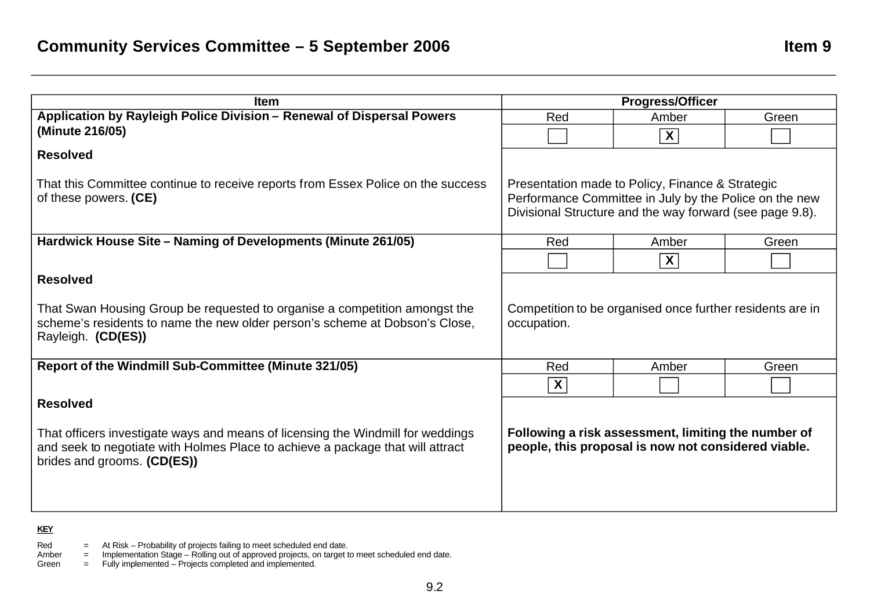| <b>Item</b>                                                                                                                                                                                      | <b>Progress/Officer</b>                                                                                                                                                |                                                                                                            |       |
|--------------------------------------------------------------------------------------------------------------------------------------------------------------------------------------------------|------------------------------------------------------------------------------------------------------------------------------------------------------------------------|------------------------------------------------------------------------------------------------------------|-------|
| Application by Rayleigh Police Division - Renewal of Dispersal Powers                                                                                                                            | Red                                                                                                                                                                    | Amber                                                                                                      | Green |
| (Minute 216/05)                                                                                                                                                                                  |                                                                                                                                                                        | $\overline{\mathbf{X}}$                                                                                    |       |
| <b>Resolved</b>                                                                                                                                                                                  |                                                                                                                                                                        |                                                                                                            |       |
| That this Committee continue to receive reports from Essex Police on the success<br>of these powers. (CE)                                                                                        | Presentation made to Policy, Finance & Strategic<br>Performance Committee in July by the Police on the new<br>Divisional Structure and the way forward (see page 9.8). |                                                                                                            |       |
| Hardwick House Site - Naming of Developments (Minute 261/05)                                                                                                                                     | Red                                                                                                                                                                    | Amber                                                                                                      | Green |
|                                                                                                                                                                                                  |                                                                                                                                                                        | $\overline{\mathbf{X}}$                                                                                    |       |
| <b>Resolved</b>                                                                                                                                                                                  |                                                                                                                                                                        |                                                                                                            |       |
| That Swan Housing Group be requested to organise a competition amongst the<br>scheme's residents to name the new older person's scheme at Dobson's Close,<br>Rayleigh. (CD(ES))                  | Competition to be organised once further residents are in<br>occupation.                                                                                               |                                                                                                            |       |
| Report of the Windmill Sub-Committee (Minute 321/05)                                                                                                                                             | Red                                                                                                                                                                    | Amber                                                                                                      | Green |
|                                                                                                                                                                                                  | $\overline{\mathbf{X}}$                                                                                                                                                |                                                                                                            |       |
| <b>Resolved</b>                                                                                                                                                                                  |                                                                                                                                                                        |                                                                                                            |       |
| That officers investigate ways and means of licensing the Windmill for weddings<br>and seek to negotiate with Holmes Place to achieve a package that will attract<br>brides and grooms. (CD(ES)) |                                                                                                                                                                        | Following a risk assessment, limiting the number of<br>people, this proposal is now not considered viable. |       |

Red  $=$  At Risk – Probability of projects failing to meet scheduled end date.

Amber = Implementation Stage – Rolling out of approved projects, on target to meet scheduled end date.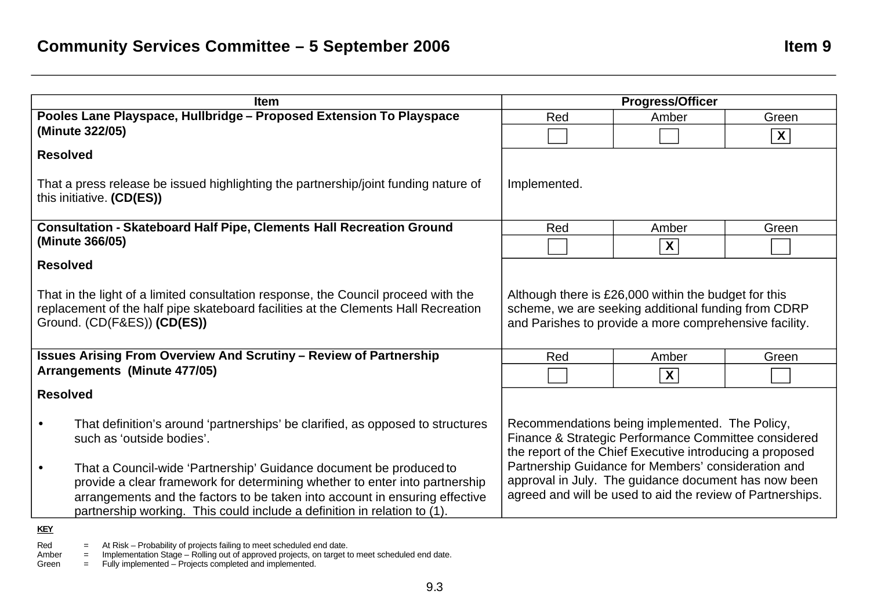| <b>Item</b>                                                                                                                                             |                                                                                                                  | <b>Progress/Officer</b>                                    |                         |
|---------------------------------------------------------------------------------------------------------------------------------------------------------|------------------------------------------------------------------------------------------------------------------|------------------------------------------------------------|-------------------------|
| Pooles Lane Playspace, Hullbridge - Proposed Extension To Playspace                                                                                     | Red                                                                                                              | Amber                                                      | Green                   |
| (Minute 322/05)                                                                                                                                         |                                                                                                                  |                                                            | $\overline{\mathbf{X}}$ |
| <b>Resolved</b>                                                                                                                                         |                                                                                                                  |                                                            |                         |
| That a press release be issued highlighting the partnership/joint funding nature of<br>this initiative. (CD(ES))                                        | Implemented.                                                                                                     |                                                            |                         |
| <b>Consultation - Skateboard Half Pipe, Clements Hall Recreation Ground</b>                                                                             | Red                                                                                                              | Amber                                                      | Green                   |
| (Minute 366/05)                                                                                                                                         |                                                                                                                  | X                                                          |                         |
| <b>Resolved</b>                                                                                                                                         |                                                                                                                  |                                                            |                         |
| That in the light of a limited consultation response, the Council proceed with the                                                                      | Although there is £26,000 within the budget for this                                                             |                                                            |                         |
| replacement of the half pipe skateboard facilities at the Clements Hall Recreation                                                                      |                                                                                                                  | scheme, we are seeking additional funding from CDRP        |                         |
| Ground. (CD(F&ES)) (CD(ES))                                                                                                                             |                                                                                                                  | and Parishes to provide a more comprehensive facility.     |                         |
| <b>Issues Arising From Overview And Scrutiny - Review of Partnership</b>                                                                                | Red                                                                                                              | Amber                                                      | Green                   |
| Arrangements (Minute 477/05)                                                                                                                            |                                                                                                                  | $\boldsymbol{X}$                                           |                         |
| <b>Resolved</b>                                                                                                                                         |                                                                                                                  |                                                            |                         |
| That definition's around 'partnerships' be clarified, as opposed to structures<br>$\bullet$                                                             | Recommendations being implemented. The Policy,                                                                   |                                                            |                         |
| such as 'outside bodies'.                                                                                                                               | Finance & Strategic Performance Committee considered<br>the report of the Chief Executive introducing a proposed |                                                            |                         |
| That a Council-wide 'Partnership' Guidance document be produced to<br>$\bullet$                                                                         | Partnership Guidance for Members' consideration and                                                              |                                                            |                         |
| provide a clear framework for determining whether to enter into partnership                                                                             |                                                                                                                  | approval in July. The guidance document has now been       |                         |
| arrangements and the factors to be taken into account in ensuring effective<br>partnership working. This could include a definition in relation to (1). |                                                                                                                  | agreed and will be used to aid the review of Partnerships. |                         |
| <b>KEY</b>                                                                                                                                              |                                                                                                                  |                                                            |                         |

Red  $=$  At Risk – Probability of projects failing to meet scheduled end date.

Amber = Implementation Stage – Rolling out of approved projects, on target to meet scheduled end date.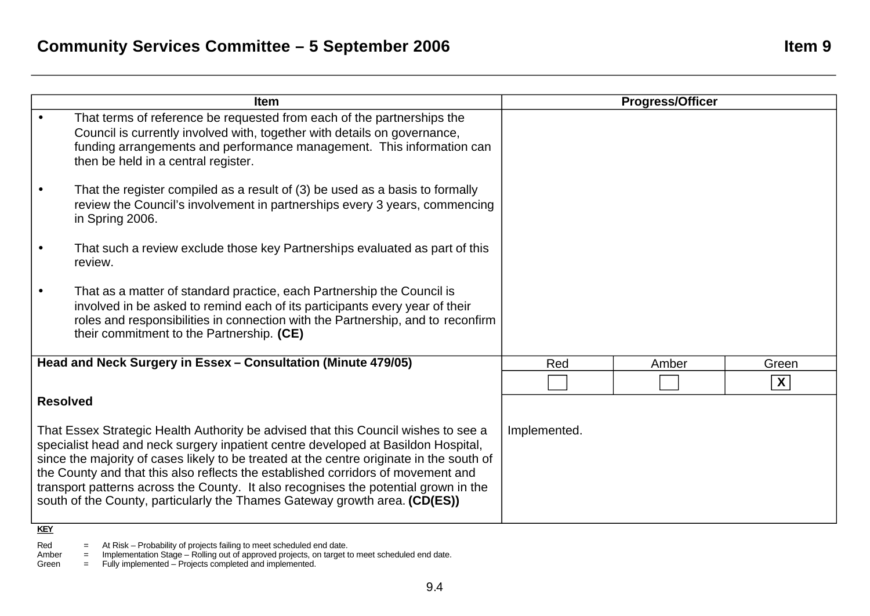| Red          | Amber | Green |
|--------------|-------|-------|
|              |       | X     |
| Implemented. |       |       |
|              |       |       |

Red  $=$  At Risk – Probability of projects failing to meet scheduled end date.

Amber = Implementation Stage – Rolling out of approved projects, on target to meet scheduled end date.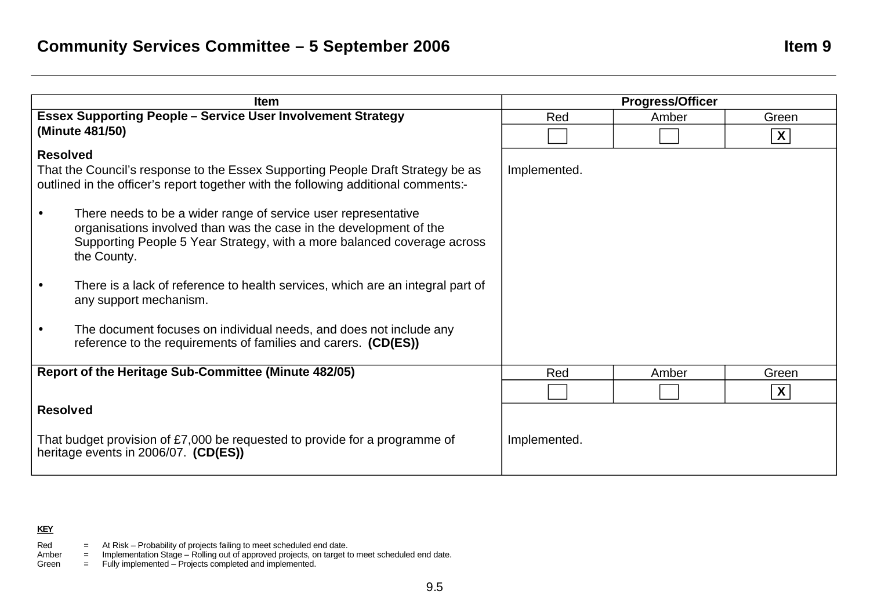| <b>Item</b>                                                                                                                                                           |              | <b>Progress/Officer</b> |       |
|-----------------------------------------------------------------------------------------------------------------------------------------------------------------------|--------------|-------------------------|-------|
| <b>Essex Supporting People - Service User Involvement Strategy</b>                                                                                                    | Red          | Amber                   | Green |
| (Minute 481/50)                                                                                                                                                       |              |                         | X     |
| <b>Resolved</b>                                                                                                                                                       |              |                         |       |
| That the Council's response to the Essex Supporting People Draft Strategy be as<br>outlined in the officer's report together with the following additional comments:- | Implemented. |                         |       |
| There needs to be a wider range of service user representative                                                                                                        |              |                         |       |
| organisations involved than was the case in the development of the<br>Supporting People 5 Year Strategy, with a more balanced coverage across<br>the County.          |              |                         |       |
| There is a lack of reference to health services, which are an integral part of<br>any support mechanism.                                                              |              |                         |       |
| The document focuses on individual needs, and does not include any<br>$\bullet$<br>reference to the requirements of families and carers. (CD(ES))                     |              |                         |       |
| Report of the Heritage Sub-Committee (Minute 482/05)                                                                                                                  | Red          | Amber                   | Green |
|                                                                                                                                                                       |              |                         | X     |
| <b>Resolved</b>                                                                                                                                                       |              |                         |       |
| That budget provision of £7,000 be requested to provide for a programme of<br>heritage events in 2006/07. (CD(ES))                                                    | Implemented. |                         |       |

- Red  $=$  At Risk Probability of projects failing to meet scheduled end date.
- Amber = Implementation Stage Rolling out of approved projects, on target to meet scheduled end date.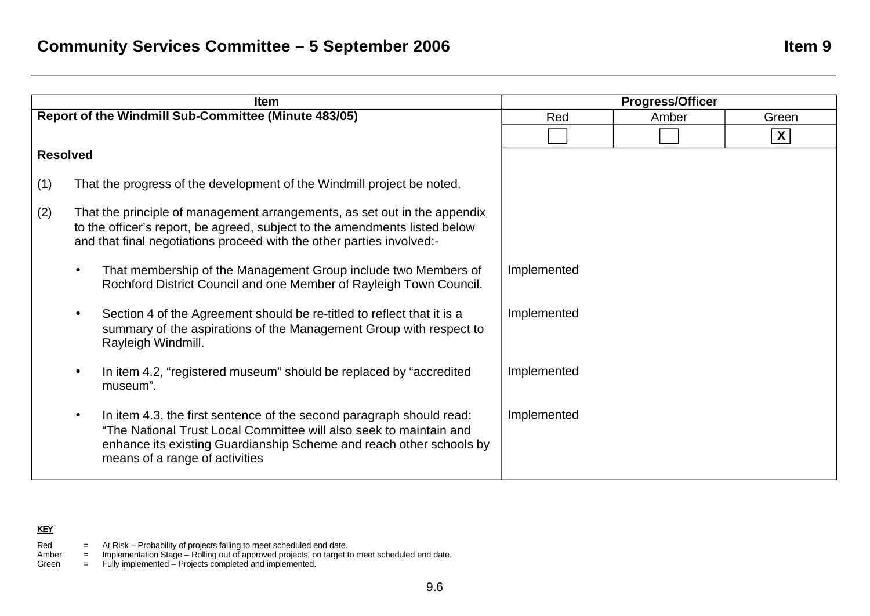|                 | <b>Item</b>                                                                                                                                                                                                                                         |             | <b>Progress/Officer</b> |                           |
|-----------------|-----------------------------------------------------------------------------------------------------------------------------------------------------------------------------------------------------------------------------------------------------|-------------|-------------------------|---------------------------|
|                 | Report of the Windmill Sub-Committee (Minute 483/05)                                                                                                                                                                                                | Red         | Amber                   | Green                     |
|                 |                                                                                                                                                                                                                                                     |             |                         | $\boldsymbol{\mathsf{X}}$ |
| <b>Resolved</b> |                                                                                                                                                                                                                                                     |             |                         |                           |
| (1)             | That the progress of the development of the Windmill project be noted.                                                                                                                                                                              |             |                         |                           |
| (2)             | That the principle of management arrangements, as set out in the appendix<br>to the officer's report, be agreed, subject to the amendments listed below<br>and that final negotiations proceed with the other parties involved:-                    |             |                         |                           |
|                 | That membership of the Management Group include two Members of<br>Rochford District Council and one Member of Rayleigh Town Council.                                                                                                                | Implemented |                         |                           |
|                 | Section 4 of the Agreement should be re-titled to reflect that it is a<br>summary of the aspirations of the Management Group with respect to<br>Rayleigh Windmill.                                                                                  | Implemented |                         |                           |
|                 | In item 4.2, "registered museum" should be replaced by "accredited<br>museum".                                                                                                                                                                      | Implemented |                         |                           |
|                 | In item 4.3, the first sentence of the second paragraph should read:<br>"The National Trust Local Committee will also seek to maintain and<br>enhance its existing Guardianship Scheme and reach other schools by<br>means of a range of activities | Implemented |                         |                           |

- Red  $=$  At Risk Probability of projects failing to meet scheduled end date.
- Amber = Implementation Stage Rolling out of approved projects, on target to meet scheduled end date.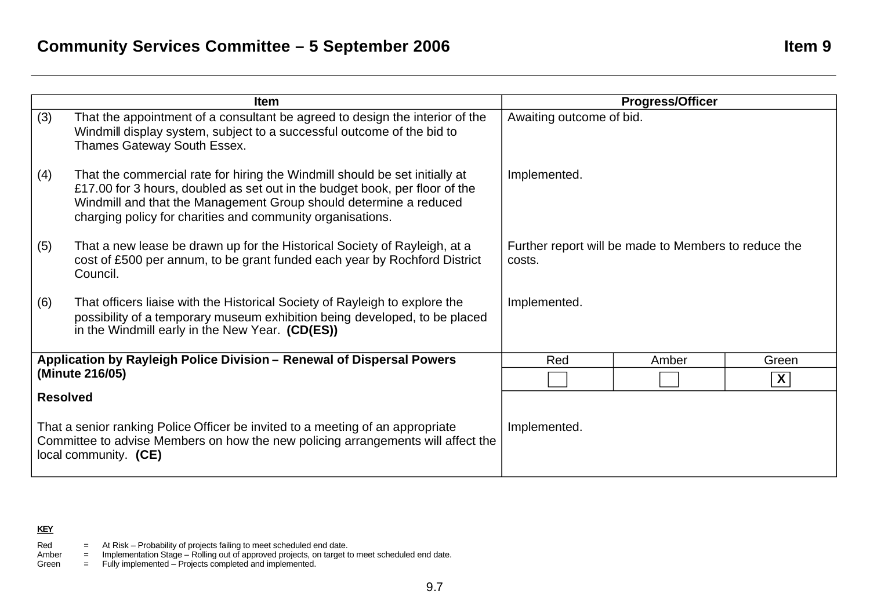|                 | <b>Item</b>                                                                                                                                                                                                                                                                                   | <b>Progress/Officer</b>                                        |  |  |
|-----------------|-----------------------------------------------------------------------------------------------------------------------------------------------------------------------------------------------------------------------------------------------------------------------------------------------|----------------------------------------------------------------|--|--|
| (3)             | That the appointment of a consultant be agreed to design the interior of the<br>Windmill display system, subject to a successful outcome of the bid to<br>Thames Gateway South Essex.                                                                                                         | Awaiting outcome of bid.                                       |  |  |
| (4)             | That the commercial rate for hiring the Windmill should be set initially at<br>£17.00 for 3 hours, doubled as set out in the budget book, per floor of the<br>Windmill and that the Management Group should determine a reduced<br>charging policy for charities and community organisations. | Implemented.                                                   |  |  |
| (5)             | That a new lease be drawn up for the Historical Society of Rayleigh, at a<br>cost of £500 per annum, to be grant funded each year by Rochford District<br>Council.                                                                                                                            | Further report will be made to Members to reduce the<br>costs. |  |  |
| (6)             | That officers liaise with the Historical Society of Rayleigh to explore the<br>possibility of a temporary museum exhibition being developed, to be placed<br>in the Windmill early in the New Year. (CD(ES))                                                                                  | Implemented.                                                   |  |  |
|                 | Application by Rayleigh Police Division - Renewal of Dispersal Powers                                                                                                                                                                                                                         | Red<br>Green<br>Amber                                          |  |  |
|                 | (Minute 216/05)                                                                                                                                                                                                                                                                               | $\boldsymbol{X}$                                               |  |  |
| <b>Resolved</b> |                                                                                                                                                                                                                                                                                               |                                                                |  |  |
|                 | That a senior ranking Police Officer be invited to a meeting of an appropriate<br>Committee to advise Members on how the new policing arrangements will affect the<br>local community. (CE)                                                                                                   | Implemented.                                                   |  |  |

- Red  $=$  At Risk Probability of projects failing to meet scheduled end date.
- Amber = Implementation Stage Rolling out of approved projects, on target to meet scheduled end date.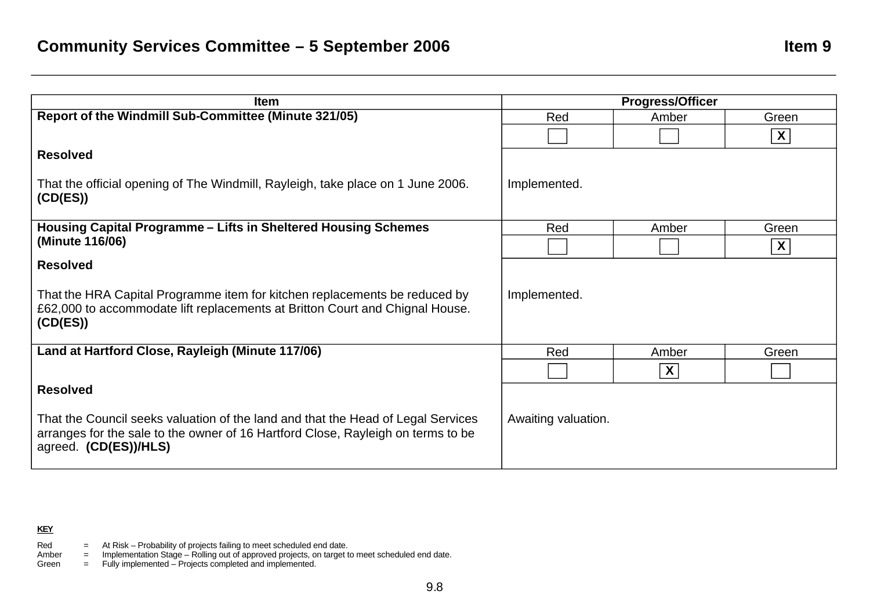| <b>Item</b>                                                                                                                                                                                   |                     | <b>Progress/Officer</b>   |                  |
|-----------------------------------------------------------------------------------------------------------------------------------------------------------------------------------------------|---------------------|---------------------------|------------------|
| Report of the Windmill Sub-Committee (Minute 321/05)                                                                                                                                          | Red                 | Amber                     | Green            |
|                                                                                                                                                                                               |                     |                           | $\boldsymbol{X}$ |
| <b>Resolved</b>                                                                                                                                                                               |                     |                           |                  |
| That the official opening of The Windmill, Rayleigh, take place on 1 June 2006.<br>(CD(ES))                                                                                                   | Implemented.        |                           |                  |
| Housing Capital Programme - Lifts in Sheltered Housing Schemes                                                                                                                                | Red                 | Amber                     | Green            |
| (Minute 116/06)                                                                                                                                                                               |                     |                           | X                |
| <b>Resolved</b>                                                                                                                                                                               |                     |                           |                  |
| That the HRA Capital Programme item for kitchen replacements be reduced by<br>£62,000 to accommodate lift replacements at Britton Court and Chignal House.<br>(CD(ES))                        | Implemented.        |                           |                  |
| Land at Hartford Close, Rayleigh (Minute 117/06)                                                                                                                                              | Red                 | Amber                     | Green            |
|                                                                                                                                                                                               |                     | $\boldsymbol{\mathsf{X}}$ |                  |
| <b>Resolved</b>                                                                                                                                                                               |                     |                           |                  |
| That the Council seeks valuation of the land and that the Head of Legal Services<br>arranges for the sale to the owner of 16 Hartford Close, Rayleigh on terms to be<br>agreed. (CD(ES))/HLS) | Awaiting valuation. |                           |                  |

- Red  $=$  At Risk Probability of projects failing to meet scheduled end date.
- Amber = Implementation Stage Rolling out of approved projects, on target to meet scheduled end date.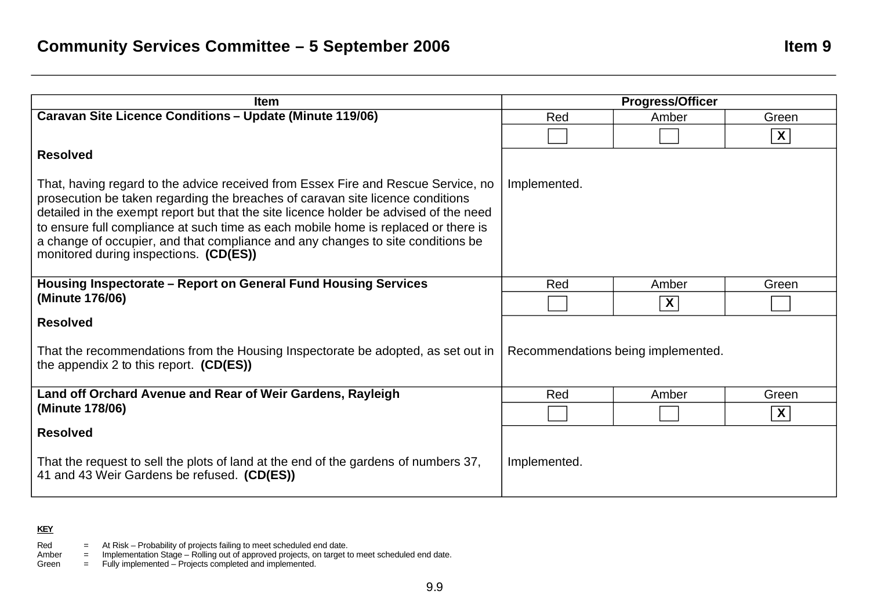| <b>Item</b>                                                                                                                                                                                                                                                                                                                                                                                                                                                                     |              | <b>Progress/Officer</b>            |                         |
|---------------------------------------------------------------------------------------------------------------------------------------------------------------------------------------------------------------------------------------------------------------------------------------------------------------------------------------------------------------------------------------------------------------------------------------------------------------------------------|--------------|------------------------------------|-------------------------|
| <b>Caravan Site Licence Conditions - Update (Minute 119/06)</b>                                                                                                                                                                                                                                                                                                                                                                                                                 | Red          | Amber                              | Green                   |
|                                                                                                                                                                                                                                                                                                                                                                                                                                                                                 |              |                                    | $\overline{\mathbf{X}}$ |
| <b>Resolved</b>                                                                                                                                                                                                                                                                                                                                                                                                                                                                 |              |                                    |                         |
| That, having regard to the advice received from Essex Fire and Rescue Service, no<br>prosecution be taken regarding the breaches of caravan site licence conditions<br>detailed in the exempt report but that the site licence holder be advised of the need<br>to ensure full compliance at such time as each mobile home is replaced or there is<br>a change of occupier, and that compliance and any changes to site conditions be<br>monitored during inspections. (CD(ES)) | Implemented. |                                    |                         |
| Housing Inspectorate – Report on General Fund Housing Services                                                                                                                                                                                                                                                                                                                                                                                                                  | Red          | Amber                              | Green                   |
| (Minute 176/06)                                                                                                                                                                                                                                                                                                                                                                                                                                                                 |              | X                                  |                         |
| <b>Resolved</b>                                                                                                                                                                                                                                                                                                                                                                                                                                                                 |              |                                    |                         |
| That the recommendations from the Housing Inspectorate be adopted, as set out in<br>the appendix 2 to this report. $(CD(ES))$                                                                                                                                                                                                                                                                                                                                                   |              | Recommendations being implemented. |                         |
| Land off Orchard Avenue and Rear of Weir Gardens, Rayleigh                                                                                                                                                                                                                                                                                                                                                                                                                      | Red          | Amber                              | Green                   |
| (Minute 178/06)                                                                                                                                                                                                                                                                                                                                                                                                                                                                 |              |                                    | $\boldsymbol{X}$        |
| <b>Resolved</b>                                                                                                                                                                                                                                                                                                                                                                                                                                                                 |              |                                    |                         |
| That the request to sell the plots of land at the end of the gardens of numbers 37,<br>41 and 43 Weir Gardens be refused. (CD(ES))                                                                                                                                                                                                                                                                                                                                              | Implemented. |                                    |                         |

Red  $=$  At Risk – Probability of projects failing to meet scheduled end date.

Amber = Implementation Stage – Rolling out of approved projects, on target to meet scheduled end date.